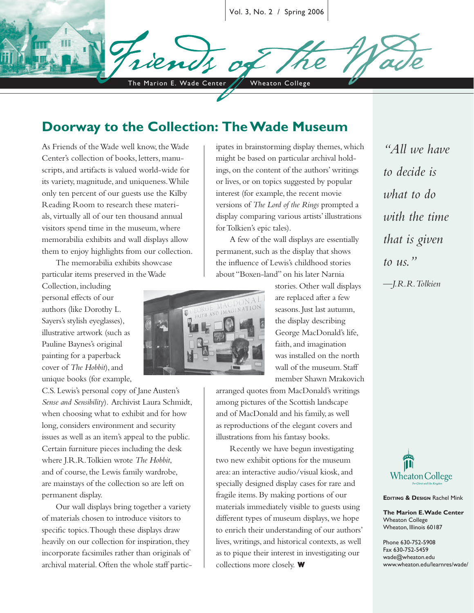Vol. 3, No. 2 / Spring 2006

The Marion E. Wade Center / Wheaton College

#### **Doorway to the Collection: The Wade Museum**

As Friends of the Wade well know, the Wade Center's collection of books, letters, manuscripts, and artifacts is valued world-wide for its variety, magnitude, and uniqueness. While only ten percent of our guests use the Kilby Reading Room to research these materials, virtually all of our ten thousand annual visitors spend time in the museum, where memorabilia exhibits and wall displays allow them to enjoy highlights from our collection.

The memorabilia exhibits showcase particular items preserved in the Wade

Collection, including personal effects of our authors (like Dorothy L. Sayers's stylish eyeglasses), illustrative artwork (such as Pauline Baynes's original painting for a paperback cover of *The Hobbit*), and unique books (for example,

C.S. Lewis's personal copy of Jane Austen's *Sense and Sensibility*). Archivist Laura Schmidt, when choosing what to exhibit and for how long, considers environment and security issues as well as an item's appeal to the public. Certain furniture pieces including the desk where J.R.R. Tolkien wrote *The Hobbit*, and of course, the Lewis family wardrobe, are mainstays of the collection so are left on permanent display.

Our wall displays bring together a variety of materials chosen to introduce visitors to specific topics. Though these displays draw heavily on our collection for inspiration, they incorporate facsimiles rather than originals of archival material. Often the whole staff participates in brainstorming display themes, which might be based on particular archival holdings, on the content of the authors' writings or lives, or on topics suggested by popular interest (for example, the recent movie versions of *The Lord of the Rings* prompted a display comparing various artists' illustrations for Tolkien's epic tales).

A few of the wall displays are essentially permanent, such as the display that shows the influence of Lewis's childhood stories about "Boxen-land" on his later Narnia



stories. Other wall displays are replaced after a few seasons. Just last autumn, the display describing George MacDonald's life, faith, and imagination was installed on the north wall of the museum. Staff member Shawn Mrakovich

arranged quotes from MacDonald's writings among pictures of the Scottish landscape and of MacDonald and his family, as well as reproductions of the elegant covers and illustrations from his fantasy books.

Recently we have begun investigating two new exhibit options for the museum area: an interactive audio/visual kiosk, and specially designed display cases for rare and fragile items. By making portions of our materials immediately visible to guests using different types of museum displays, we hope to enrich their understanding of our authors' lives, writings, and historical contexts, as well as to pique their interest in investigating our collections more closely. **W**

*"All we have to decide is what to do with the time that is given to us."*

*—J.R.R. Tolkien*



**EDITING & DESIGN Rachel Mink** 

**The Marion E. Wade Center** Wheaton College Wheaton, Illinois 60187

Phone 630-752-5908 Fax 630-752-5459 wade@wheaton.edu www.wheaton.edu/learnres/wade/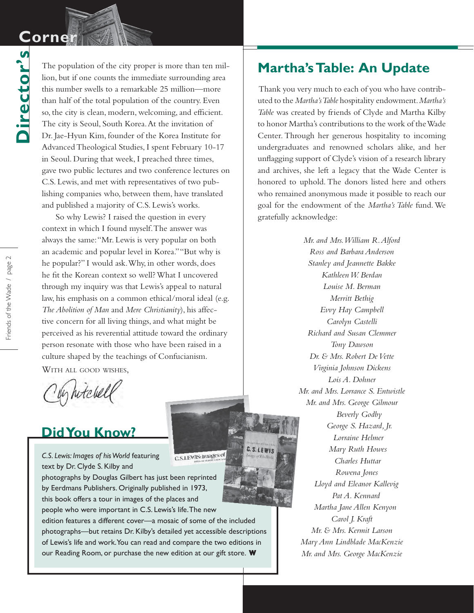## **Corne**

**Director's**

Director's

The population of the city proper is more than ten million, but if one counts the immediate surrounding area this number swells to a remarkable 25 million—more than half of the total population of the country. Even so, the city is clean, modern, welcoming, and efficient. The city is Seoul, South Korea. At the invitation of Dr. Jae-Hyun Kim, founder of the Korea Institute for Advanced Theological Studies, I spent February 10-17 in Seoul. During that week, I preached three times, gave two public lectures and two conference lectures on C.S. Lewis, and met with representatives of two publishing companies who, between them, have translated and published a majority of C.S. Lewis's works.

So why Lewis? I raised the question in every context in which I found myself. The answer was always the same: "Mr. Lewis is very popular on both an academic and popular level in Korea." "But why is he popular?" I would ask. Why, in other words, does he fit the Korean context so well? What I uncovered through my inquiry was that Lewis's appeal to natural law, his emphasis on a common ethical/moral ideal (e.g. *The Abolition of Man* and *Mere Christianity*), his affective concern for all living things, and what might be perceived as his reverential attitude toward the ordinary person resonate with those who have been raised in a culture shaped by the teachings of Confucianism.

WITH ALL GOOD WISHES.

by hitchell

### **Did You Know?**

*C.S. Lewis: Images of his World* featuring text by Dr. Clyde S. Kilby and

photographs by Douglas Gilbert has just been reprinted by Eerdmans Publishers. Originally published in 1973, this book offers a tour in images of the places and people who were important in C.S. Lewis's life. The new edition features a different cover—a mosaic of some of the included

photographs—but retains Dr. Kilby's detailed yet accessible descriptions of Lewis's life and work. You can read and compare the two editions in our Reading Room, or purchase the new edition at our gift store. **W**

#### **Martha's Table: An Update**

 Thank you very much to each of you who have contributed to the *Martha's Table* hospitality endowment. *Martha's Table* was created by friends of Clyde and Martha Kilby to honor Martha's contributions to the work of the Wade Center. Through her generous hospitality to incoming undergraduates and renowned scholars alike, and her unflagging support of Clyde's vision of a research library and archives, she left a legacy that the Wade Center is honored to uphold. The donors listed here and others who remained anonymous made it possible to reach our goal for the endowment of the *Martha's Table* fund. We gratefully acknowledge:

> *Mr. and Mrs. William R. Alford Ross and Barbara Anderson Stanley and Jeannette Bakke Kathleen W. Berdan Louise M. Berman Merritt Bethig Evvy Hay Campbell Carolyn Castelli Richard and Susan Clemmer Tony Dawson Dr. & Mrs. Robert De Vette Virginia Johnson Dickens Lois A. Dohner Mr. and Mrs. Lorrance S. Entwistle Mr. and Mrs. George Gilmour Beverly Godby George S. Hazard, Jr. Lorraine Helmer Mary Ruth Howes Charles Huttar Rowena Jones Lloyd and Eleanor Kallevig Pat A. Kennard Martha Jane Allen Kenyon Carol J. Kraft Mr. & Mrs. Kermit Larson Mary Ann Lindblade MacKenzie Mr. and Mrs. George MacKenzie*

C.S.LEWIS

C.S.LEWIS: Images of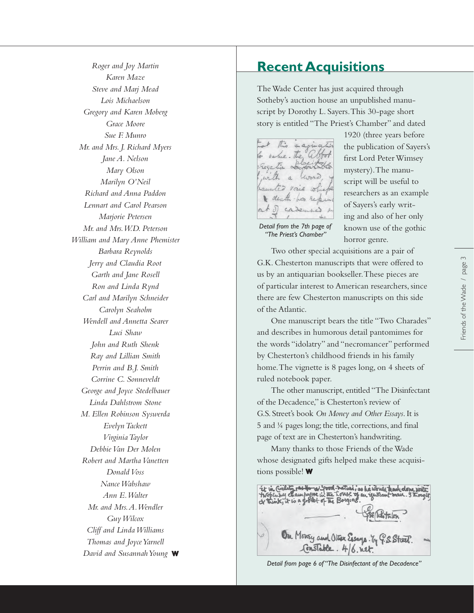*Roger and Joy Martin Karen Maze Steve and Marj Mead Lois Michaelson Gregory and Karen Moberg Grace Moore Sue F. Munro Mr. and Mrs. J. Richard Myers Jane A. Nelson Mary Olson Marilyn O'Neil Richard and Anna Paddon Lennart and Carol Pearson Marjorie Petersen Mr. and Mrs. W.D. Peterson William and Mary Anne Phemister Barbara Reynolds Jerry and Claudia Root Garth and Jane Rosell Ron and Linda Rynd Carl and Marilyn Schneider Carolyn Seaholm Wendell and Annetta Searer Luci Shaw John and Ruth Shenk Ray and Lillian Smith Perrin and B.J. Smith Corrine C. Sonneveldt George and Joyce Stedelbauer Linda Dahlstrom Stone M. Ellen Robinson Syswerda Evelyn Tackett Virginia Taylor Debbie Van Der Molen Robert and Martha Vanetten Donald Voss Nance Wabshaw Ann E. Walter Mr. and Mrs. A. Wendler Guy Wilcox Cliff and Linda Williams Thomas and Joyce Yarnell David and Susannah Young* **W**

#### **Recent Acquisitions**

The Wade Center has just acquired through Sotheby's auction house an unpublished manuscript by Dorothy L. Sayers. This 30-page short story is entitled "The Priest's Chamber" and dated



*Detail from the 7th page of "The Priest's Chamber"*

1920 (three years before the publication of Sayers's first Lord Peter Wimsey mystery). The manuscript will be useful to researchers as an example of Sayers's early writing and also of her only known use of the gothic horror genre.

Two other special acquisitions are a pair of

G.K. Chesterton manuscripts that were offered to us by an antiquarian bookseller. These pieces are of particular interest to American researchers, since there are few Chesterton manuscripts on this side of the Atlantic.

One manuscript bears the title "Two Charades" and describes in humorous detail pantomimes for the words "idolatry" and "necromancer" performed by Chesterton's childhood friends in his family home. The vignette is 8 pages long, on 4 sheets of ruled notebook paper.

The other manuscript, entitled "The Disinfectant of the Decadence," is Chesterton's review of G.S. Street's book *On Money and Other Essays* . It is 5 and ¼ pages long; the title, corrections, and final page of text are in Chesterton's handwriting.

Many thanks to those Friends of the Wade whose designated gifts helped make these acquisitions possible! **W**



*Detail from page 6 of "The Disinfectant of the Decadence"*